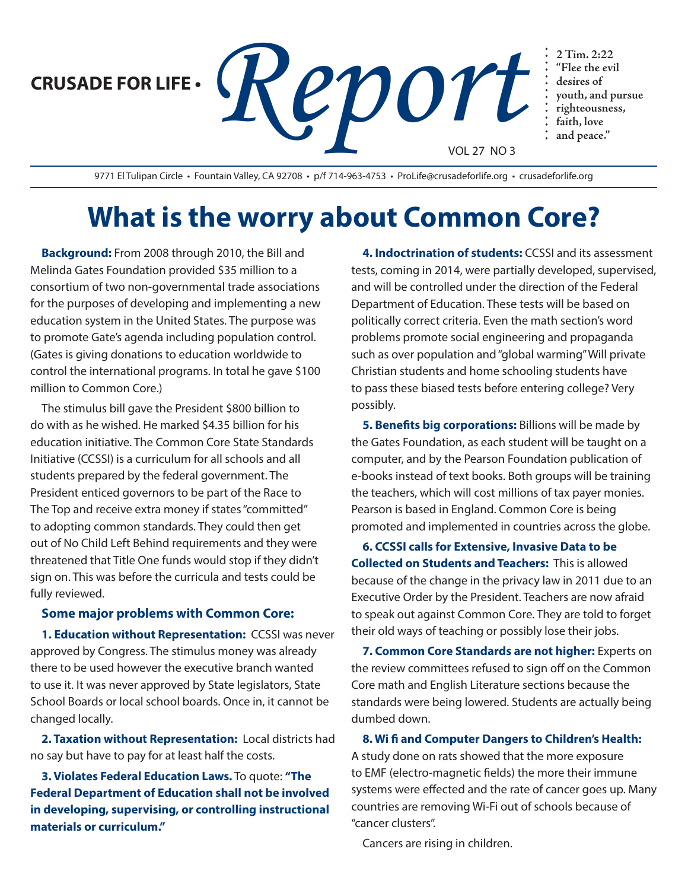**CRUSADE FOR LIFE •**

**PDOYE** Flee the evil<br> **PDOYE** is desires of<br> **PEPPOYE** is desires of<br> **PEPPOYE** is desired in the and property. VOL 27 NO 3

9771 El Tulipan Circle · Fountain Valley, CA 92708 · p/f 714-963-4753 · ProLife@crusadeforlife.org · crusadeforlife.org

## **What is the worry about Common Core?**

**Background:** From 2008 through 2010, the Bill and Melinda Gates Foundation provided \$35 million to a consortium of two non-governmental trade associations for the purposes of developing and implementing a new education system in the United States. The purpose was to promote Gate's agenda including population control. (Gates is giving donations to education worldwide to control the international programs. In total he gave \$100 million to Common Core.)

The stimulus bill gave the President \$800 billion to do with as he wished. He marked \$4.35 billion for his education initiative. The Common Core State Standards Initiative (CCSSI) is a curriculum for all schools and all students prepared by the federal government. The President enticed governors to be part of the Race to The Top and receive extra money if states "committed" to adopting common standards. They could then get out of No Child Left Behind requirements and they were threatened that Title One funds would stop if they didn't sign on. This was before the curricula and tests could be fully reviewed.

## **Some major problems with Common Core:**

**1. Education without Representation:** CCSSI was never approved by Congress. The stimulus money was already there to be used however the executive branch wanted to use it. It was never approved by State legislators, State School Boards or local school boards. Once in, it cannot be changed locally.

**2. Taxation without Representation:** Local districts had no say but have to pay for at least half the costs.

**3. Violates Federal Education Laws.** To quote: **"The Federal Department of Education shall not be involved in developing, supervising, or controlling instructional materials or curriculum."**

**4. Indoctrination of students:** CCSSI and its assessment tests, coming in 2014, were partially developed, supervised, and will be controlled under the direction of the Federal Department of Education. These tests will be based on politically correct criteria. Even the math section's word problems promote social engineering and propaganda such as over population and "global warming" Will private Christian students and home schooling students have to pass these biased tests before entering college? Very possibly.

**"Flee the evil desires of**

**youth, and pursue righteousness, faith, love and peace."**

**5. Benefits big corporations:** Billions will be made by the Gates Foundation, as each student will be taught on a computer, and by the Pearson Foundation publication of e-books instead of text books. Both groups will be training the teachers, which will cost millions of tax payer monies. Pearson is based in England. Common Core is being promoted and implemented in countries across the globe.

**6. CCSSI calls for Extensive, Invasive Data to be Collected on Students and Teachers:** This is allowed because of the change in the privacy law in 2011 due to an Executive Order by the President. Teachers are now afraid to speak out against Common Core. They are told to forget their old ways of teaching or possibly lose their jobs.

**7. Common Core Standards are not higher:** Experts on the review committees refused to sign off on the Common Core math and English Literature sections because the standards were being lowered. Students are actually being dumbed down.

**8. Wi fi and Computer Dangers to Children's Health:** A study done on rats showed that the more exposure to EMF (electro-magnetic fields) the more their immune systems were effected and the rate of cancer goes up. Many countries are removing Wi-Fi out of schools because of "cancer clusters".

Cancers are rising in children.